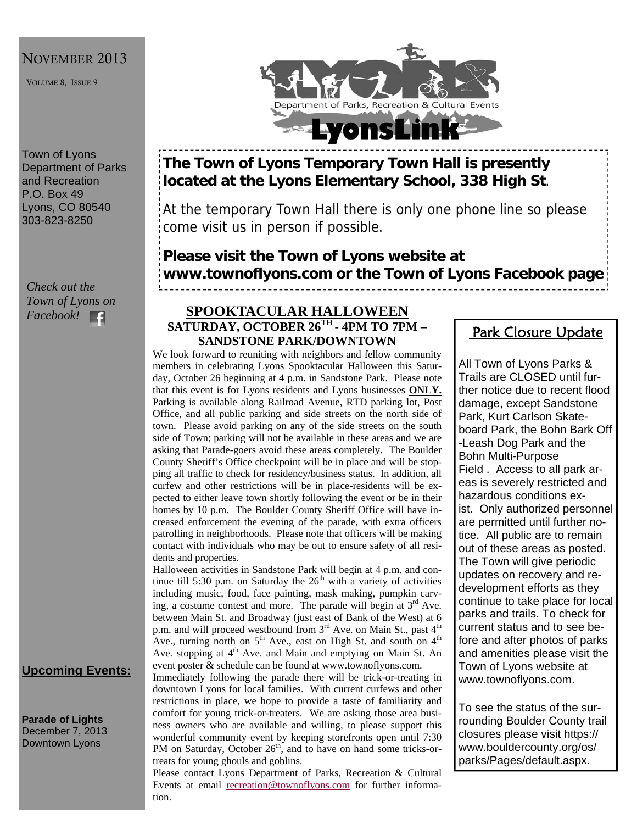#### NOVEMBER 2013

VOLUME 8, ISSUE 9

Town of Lyons Department of Parks and Recreation P.O. Box 49 Lyons, CO 80540 303-823-8250

*Check out the Town of Lyons on Facebook!* 

### **Upcoming Events:**

**Parade of Lights**  December 7, 2013 Downtown Lyons



## **The Town of Lyons Temporary Town Hall is presently located at the Lyons Elementary School, 338 High St**.

At the temporary Town Hall there is only one phone line so please come visit us in person if possible.

# **Please visit the Town of Lyons website at www.townoflyons.com or the Town of Lyons Facebook page**

#### **SPOOKTACULAR HALLOWEEN SATURDAY, OCTOBER 26TH - 4PM TO 7PM – SANDSTONE PARK/DOWNTOWN**

We look forward to reuniting with neighbors and fellow community members in celebrating Lyons Spooktacular Halloween this Saturday, October 26 beginning at 4 p.m. in Sandstone Park. Please note that this event is for Lyons residents and Lyons businesses **ONLY.** Parking is available along Railroad Avenue, RTD parking lot, Post Office, and all public parking and side streets on the north side of town. Please avoid parking on any of the side streets on the south side of Town; parking will not be available in these areas and we are asking that Parade-goers avoid these areas completely. The Boulder County Sheriff's Office checkpoint will be in place and will be stopping all traffic to check for residency/business status. In addition, all curfew and other restrictions will be in place-residents will be expected to either leave town shortly following the event or be in their homes by 10 p.m. The Boulder County Sheriff Office will have increased enforcement the evening of the parade, with extra officers patrolling in neighborhoods. Please note that officers will be making contact with individuals who may be out to ensure safety of all residents and properties.

Halloween activities in Sandstone Park will begin at 4 p.m. and continue till 5:30 p.m. on Saturday the  $26<sup>th</sup>$  with a variety of activities including music, food, face painting, mask making, pumpkin carving, a costume contest and more. The parade will begin at  $3<sup>rd</sup>$  Ave. between Main St. and Broadway (just east of Bank of the West) at 6 p.m. and will proceed westbound from 3<sup>rd</sup> Ave. on Main St., past 4<sup>th</sup> Ave., turning north on  $5<sup>th</sup>$  Ave., east on High St. and south on  $4<sup>th</sup>$ Ave. stopping at 4<sup>th</sup> Ave. and Main and emptying on Main St. An event poster & schedule can be found at www.townoflyons.com.

Immediately following the parade there will be trick-or-treating in downtown Lyons for local families. With current curfews and other restrictions in place, we hope to provide a taste of familiarity and comfort for young trick-or-treaters. We are asking those area business owners who are available and willing, to please support this wonderful community event by keeping storefronts open until 7:30 PM on Saturday, October  $26<sup>th</sup>$ , and to have on hand some tricks-ortreats for young ghouls and goblins.

Please contact Lyons Department of Parks, Recreation & Cultural Events at email recreation@townoflyons.com for further information.

## Park Closure Update

All Town of Lyons Parks & Trails are CLOSED until further notice due to recent flood damage, except Sandstone Park, Kurt Carlson Skateboard Park, the Bohn Bark Off -Leash Dog Park and the Bohn Multi-Purpose Field . Access to all park areas is severely restricted and hazardous conditions exist. Only authorized personnel are permitted until further notice. All public are to remain out of these areas as posted. The Town will give periodic updates on recovery and redevelopment efforts as they continue to take place for local parks and trails. To check for current status and to see before and after photos of parks and amenities please visit the Town of Lyons website at www.townoflyons.com.

To see the status of the surrounding Boulder County trail closures please visit https:// www.bouldercounty.org/os/ parks/Pages/default.aspx.